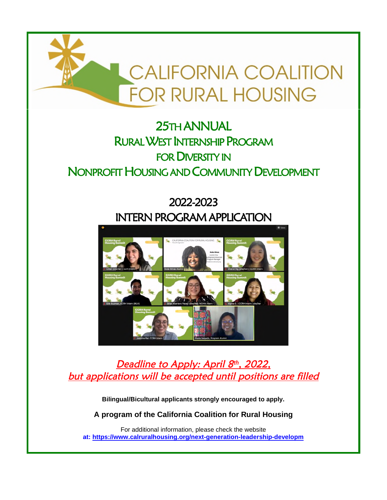

# 25TH ANNUAL RURAL WEST INTERNSHIP PROGRAM FOR DIVERSITY IN NONPROFIT HOUSING AND COMMUNITY DEVELOPMENT

# 2022-2023 INTERN PROGRAM APPLICATION



<u>Deadline to Apply: April 8th, 2022,</u> but applications will be accepted until positions are filled

**Bilingual/Bicultural applicants strongly encouraged to apply.** 

**A program of the California Coalition for Rural Housing** 

For additional information, please check the website **at: https://www.calruralhousing.org/next-generation-leadership-developm**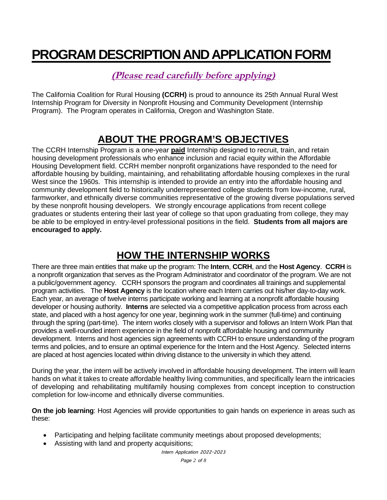# **PROGRAM DESCRIPTION AND APPLICATION FORM**

### **(Please read carefully before applying)**

The California Coalition for Rural Housing **(CCRH)** is proud to announce its 25th Annual Rural West Internship Program for Diversity in Nonprofit Housing and Community Development (Internship Program). The Program operates in California, Oregon and Washington State.

## **ABOUT THE PROGRAM'S OBJECTIVES**

The CCRH Internship Program is a one-year **paid** Internship designed to recruit, train, and retain housing development professionals who enhance inclusion and racial equity within the Affordable Housing Development field. CCRH member nonprofit organizations have responded to the need for affordable housing by building, maintaining, and rehabilitating affordable housing complexes in the rural West since the 1960s. This internship is intended to provide an entry into the affordable housing and community development field to historically underrepresented college students from low-income, rural, farmworker, and ethnically diverse communities representative of the growing diverse populations served by these nonprofit housing developers. We strongly encourage applications from recent college graduates or students entering their last year of college so that upon graduating from college, they may be able to be employed in entry-level professional positions in the field. **Students from all majors are encouraged to apply.** 

## **HOW THE INTERNSHIP WORKS**

There are three main entities that make up the program: The **Intern**, **CCRH**, and the **Host Agency**. **CCRH** is a nonprofit organization that serves as the Program Administrator and coordinator of the program. We are not a public/government agency. CCRH sponsors the program and coordinates all trainings and supplemental program activities. The **Host Agency** is the location where each Intern carries out his/her day-to-day work. Each year, an average of twelve interns participate working and learning at a nonprofit affordable housing developer or housing authority. **Interns** are selected via a competitive application process from across each state, and placed with a host agency for one year, beginning work in the summer (full-time) and continuing through the spring (part-time). The intern works closely with a supervisor and follows an Intern Work Plan that provides a well-rounded intern experience in the field of nonprofit affordable housing and community development. Interns and host agencies sign agreements with CCRH to ensure understanding of the program terms and policies, and to ensure an optimal experience for the Intern and the Host Agency. Selected interns are placed at host agencies located within driving distance to the university in which they attend.

During the year, the intern will be actively involved in affordable housing development. The intern will learn hands on what it takes to create affordable healthy living communities, and specifically learn the intricacies of developing and rehabilitating multifamily housing complexes from concept inception to construction completion for low-income and ethnically diverse communities.

**On the job learning**: Host Agencies will provide opportunities to gain hands on experience in areas such as these:

- Participating and helping facilitate community meetings about proposed developments;
- Assisting with land and property acquisitions;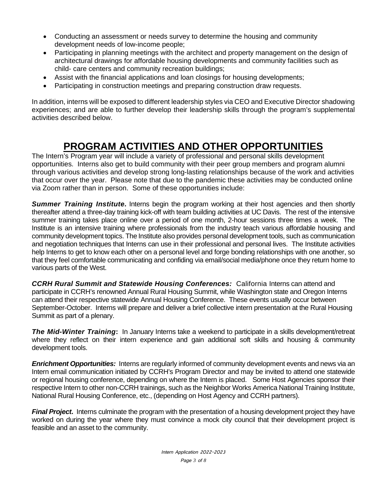- Conducting an assessment or needs survey to determine the housing and community development needs of low-income people;
- Participating in planning meetings with the architect and property management on the design of architectural drawings for affordable housing developments and community facilities such as child- care centers and community recreation buildings;
- Assist with the financial applications and loan closings for housing developments;
- Participating in construction meetings and preparing construction draw requests.

In addition, interns will be exposed to different leadership styles via CEO and Executive Director shadowing experiences; and are able to further develop their leadership skills through the program's supplemental activities described below.

## **PROGRAM ACTIVITIES AND OTHER OPPORTUNITIES**

The Intern's Program year will include a variety of professional and personal skills development opportunities. Interns also get to build community with their peer group members and program alumni through various activities and develop strong long-lasting relationships because of the work and activities that occur over the year. Please note that due to the pandemic these activities may be conducted online via Zoom rather than in person. Some of these opportunities include:

*Summer Training Institute***.** Interns begin the program working at their host agencies and then shortly thereafter attend a three-day training kick-off with team building activities at UC Davis. The rest of the intensive summer training takes place online over a period of one month, 2-hour sessions three times a week. The Institute is an intensive training where professionals from the industry teach various affordable housing and community development topics. The Institute also provides personal development tools, such as communication and negotiation techniques that Interns can use in their professional and personal lives. The Institute activities help Interns to get to know each other on a personal level and forge bonding relationships with one another, so that they feel comfortable communicating and confiding via email/social media/phone once they return home to various parts of the West.

*CCRH Rural Summit and Statewide Housing Conferences:* California Interns can attend and participate in CCRH's renowned Annual Rural Housing Summit, while Washington state and Oregon Interns can attend their respective statewide Annual Housing Conference. These events usually occur between September-October. Interns will prepare and deliver a brief collective intern presentation at the Rural Housing Summit as part of a plenary.

*The Mid-Winter Training***:** In January Interns take a weekend to participate in a skills development/retreat where they reflect on their intern experience and gain additional soft skills and housing & community development tools.

*Enrichment Opportunities:* Interns are regularly informed of community development events and news via an Intern email communication initiated by CCRH's Program Director and may be invited to attend one statewide or regional housing conference, depending on where the Intern is placed. Some Host Agencies sponsor their respective Intern to other non-CCRH trainings, such as the Neighbor Works America National Training Institute, National Rural Housing Conference, etc., (depending on Host Agency and CCRH partners).

*Final Project***.** Interns culminate the program with the presentation of a housing development project they have worked on during the year where they must convince a mock city council that their development project is feasible and an asset to the community.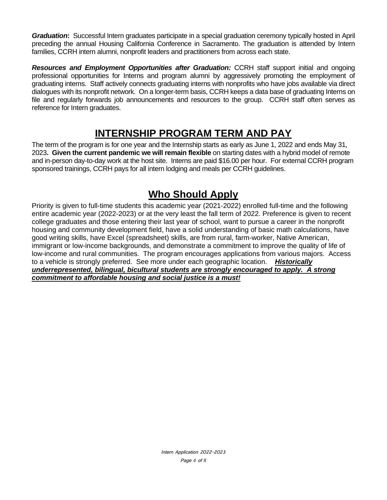*Graduation***:** Successful Intern graduates participate in a special graduation ceremony typically hosted in April preceding the annual Housing California Conference in Sacramento. The graduation is attended by Intern families, CCRH intern alumni, nonprofit leaders and practitioners from across each state.

*Resources and Employment Opportunities after Graduation:* CCRH staff support initial and ongoing professional opportunities for Interns and program alumni by aggressively promoting the employment of graduating interns. Staff actively connects graduating interns with nonprofits who have jobs available via direct dialogues with its nonprofit network. On a longer-term basis, CCRH keeps a data base of graduating Interns on file and regularly forwards job announcements and resources to the group. CCRH staff often serves as reference for Intern graduates.

### **INTERNSHIP PROGRAM TERM AND PAY**

The term of the program is for one year and the Internship starts as early as June 1, 2022 and ends May 31, 2023**. Given the current pandemic we will remain flexible** on starting dates with a hybrid model of remote and in-person day-to-day work at the host site. Interns are paid \$16.00 per hour. For external CCRH program sponsored trainings, CCRH pays for all intern lodging and meals per CCRH guidelines.

### **Who Should Apply**

Priority is given to full-time students this academic year (2021-2022) enrolled full-time and the following entire academic year (2022-2023) or at the very least the fall term of 2022. Preference is given to recent college graduates and those entering their last year of school, want to pursue a career in the nonprofit housing and community development field, have a solid understanding of basic math calculations, have good writing skills, have Excel (spreadsheet) skills, are from rural, farm-worker, Native American, immigrant or low-income backgrounds, and demonstrate a commitment to improve the quality of life of low-income and rural communities. The program encourages applications from various majors. Access to a vehicle is strongly preferred. See more under each geographic location. *Historically underrepresented, bilingual, bicultural students are strongly encouraged to apply. A strong commitment to affordable housing and social justice is a must!*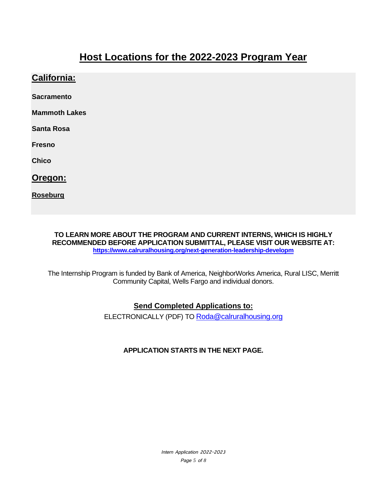### **Host Locations for the 2022-2023 Program Year**

### **California:**

**Sacramento** 

**Mammoth Lakes** 

**Santa Rosa** 

**Fresno** 

**Chico** 

**Oregon:** 

**Roseburg** 

**TO LEARN MORE ABOUT THE PROGRAM AND CURRENT INTERNS, WHICH IS HIGHLY RECOMMENDED BEFORE APPLICATION SUBMITTAL, PLEASE VISIT OUR WEBSITE AT: https://www.calruralhousing.org/next-generation-leadership-developm**

The Internship Program is funded by Bank of America, NeighborWorks America, Rural LISC, Merritt Community Capital, Wells Fargo and individual donors.

#### **Send Completed Applications to:**

ELECTRONICALLY (PDF) TO Roda@calruralhousing.org

#### **APPLICATION STARTS IN THE NEXT PAGE.**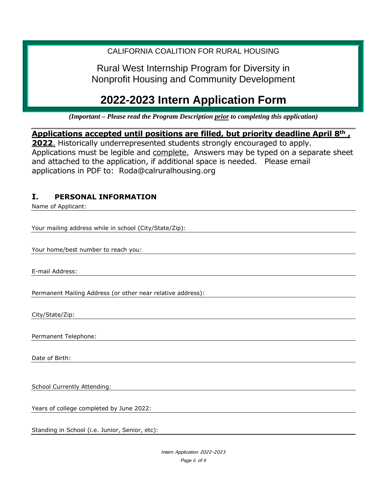### CALIFORNIA COALITION FOR RURAL HOUSING

Rural West Internship Program for Diversity in Nonprofit Housing and Community Development

# **2022-2023 Intern Application Form**

*(Important – Please read the Program Description prior to completing this application)* 

**Applications accepted until positions are filled, but priority deadline April 8th ,** 

**2022**. Historically underrepresented students strongly encouraged to apply. Applications must be legible and complete. Answers may be typed on a separate sheet and attached to the application, if additional space is needed. Please email applications in PDF to: Roda@calruralhousing.org

### **I. PERSONAL INFORMATION**

Name of Applicant:

Your mailing address while in school (City/State/Zip):

Your home/best number to reach you:

E-mail Address:

Permanent Mailing Address (or other near relative address):

City/State/Zip:

Permanent Telephone:

Date of Birth:

School Currently Attending:

Years of college completed by June 2022:

Standing in School (i.e. Junior, Senior, etc):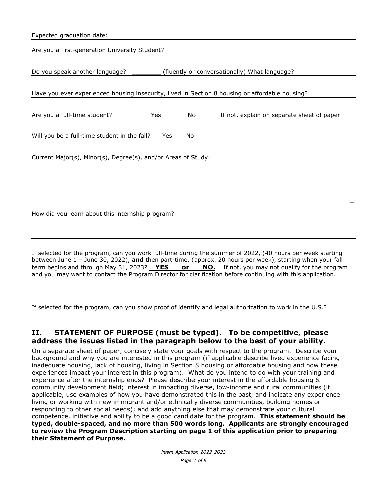| Expected graduation date:                                                                       |     |    |                                                                                                                                                                                                                         |
|-------------------------------------------------------------------------------------------------|-----|----|-------------------------------------------------------------------------------------------------------------------------------------------------------------------------------------------------------------------------|
| Are you a first-generation University Student?                                                  |     |    |                                                                                                                                                                                                                         |
| Do you speak another language?                                                                  |     |    | (fluently or conversationally) What language?                                                                                                                                                                           |
| Have you ever experienced housing insecurity, lived in Section 8 housing or affordable housing? |     |    |                                                                                                                                                                                                                         |
| Are you a full-time student?                                                                    | Yes | No | If not, explain on separate sheet of paper                                                                                                                                                                              |
| Will you be a full-time student in the fall?                                                    | Yes | No |                                                                                                                                                                                                                         |
| Current Major(s), Minor(s), Degree(s), and/or Areas of Study:                                   |     |    |                                                                                                                                                                                                                         |
|                                                                                                 |     |    |                                                                                                                                                                                                                         |
| How did you learn about this internship program?                                                |     |    |                                                                                                                                                                                                                         |
|                                                                                                 |     |    | If selected for the program, can you work full-time during the summer of 2022, (40 hours per week starting<br>between June 1 - June 30, 2022), and then part-time, (approx. 20 hours per week), starting when your fall |

term begins and through May 31, 2023? **YES or NO.** If not, you may not qualify for the program and you may want to contact the Program Director for clarification before continuing with this application.

If selected for the program, can you show proof of identify and legal authorization to work in the U.S.?

#### **II. STATEMENT OF PURPOSE (must be typed). To be competitive, please address the issues listed in the paragraph below to the best of your ability.**

On a separate sheet of paper, concisely state your goals with respect to the program. Describe your background and why you are interested in this program (if applicable describe lived experience facing inadequate housing, lack of housing, living in Section 8 housing or affordable housing and how these experiences impact your interest in this program). What do you intend to do with your training and experience after the internship ends? Please describe your interest in the affordable housing & community development field; interest in impacting diverse, low-income and rural communities (if applicable, use examples of how you have demonstrated this in the past, and indicate any experience living or working with new immigrant and/or ethnically diverse communities, building homes or responding to other social needs); and add anything else that may demonstrate your cultural competence, initiative and ability to be a good candidate for the program. **This statement should be typed, double-spaced, and no more than 500 words long. Applicants are strongly encouraged to review the Program Description starting on page 1 of this application prior to preparing their Statement of Purpose.**